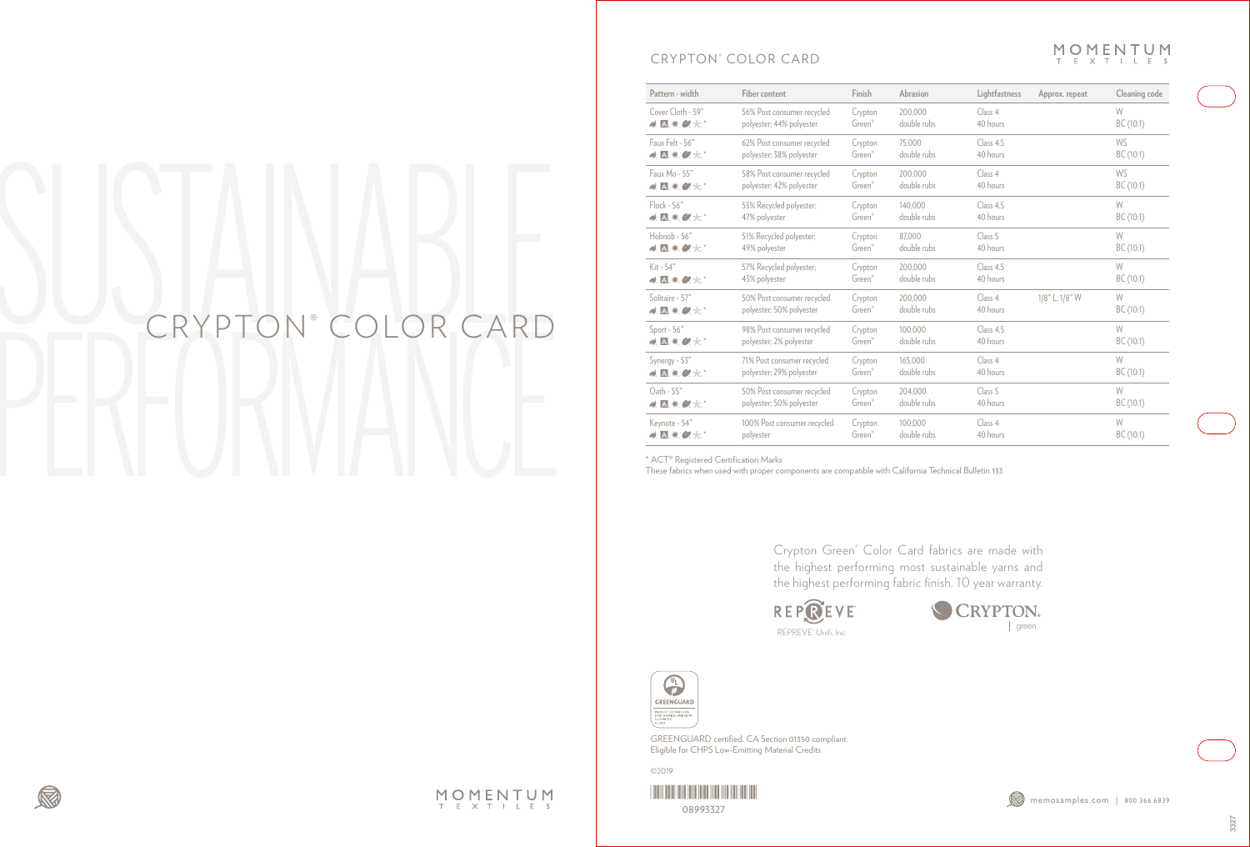## CRYPTON® COLOR CARD



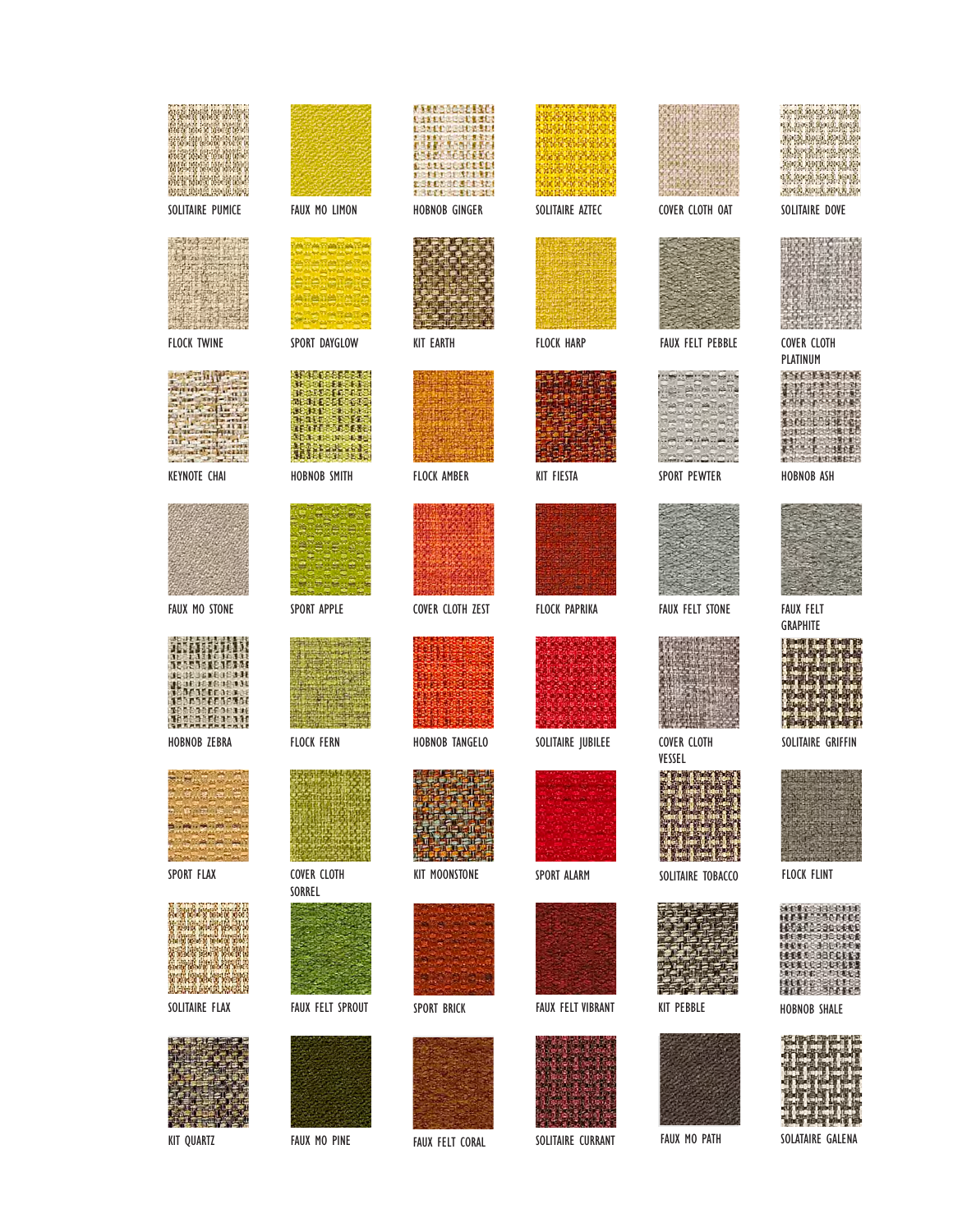| SOLITAIRE PUMICE     | FAUX MO LIMON                     | HOBNOB GINGER          | SOLITAIRE AZTEC          | COVER CLOTH OAT             | SOLITAIRE DOVE                       |
|----------------------|-----------------------------------|------------------------|--------------------------|-----------------------------|--------------------------------------|
| <b>FLOCK TWINE</b>   | SPORT DAYGLOW                     | <b>KIT EARTH</b>       | <b>FLOCK HARP</b>        | <b>FAUX FELT PEBBLE</b>     | <b>COVER CLOTH</b>                   |
| <b>KEYNOTE CHAI</b>  | <b>HOBNOB SMITH</b>               | <b>FLOCK AMBER</b>     | <b>KIT FIESTA</b>        | SPORT PEWTER                | PLATINUM<br>HOBNOB ASH               |
| <b>FAUX MO STONE</b> | SPORT APPLE                       | COVER CLOTH ZEST       | <b>FLOCK PAPRIKA</b>     | <b>FAUX FELT STONE</b>      | <b>FAUX FELT</b>                     |
| HOBNOB ZEBRA         | <b>FLOCK FERN</b>                 | HOBNOB TANGELO         | SOLITAIRE JUBILEE        | COVER CLOTH                 | <b>GRAPHITE</b><br>SOLITAIRE GRIFFIN |
| SPORT FLAX           | COVER CLOTH                       | <b>KIT MOONSTONE</b>   | SPORT ALARM              | VESSEL<br>SOLITAIRE TOBACCO | <b>FLOCK FLINT</b>                   |
| SOLITAIRE FLAX       | SORREL<br><b>FAUX FELT SPROUT</b> | SPORT BRICK            | <b>FAUX FELT VIBRANT</b> | <b>KIT PEBBLE</b>           | <b>HOBNOB SHALE</b>                  |
| <b>KIT QUARTZ</b>    | FAUX MO PINE                      | <b>FAUX FELT CORAL</b> | SOLITAIRE CURRANT        | FAUX MO PATH                | SOLATAIRE GALENA                     |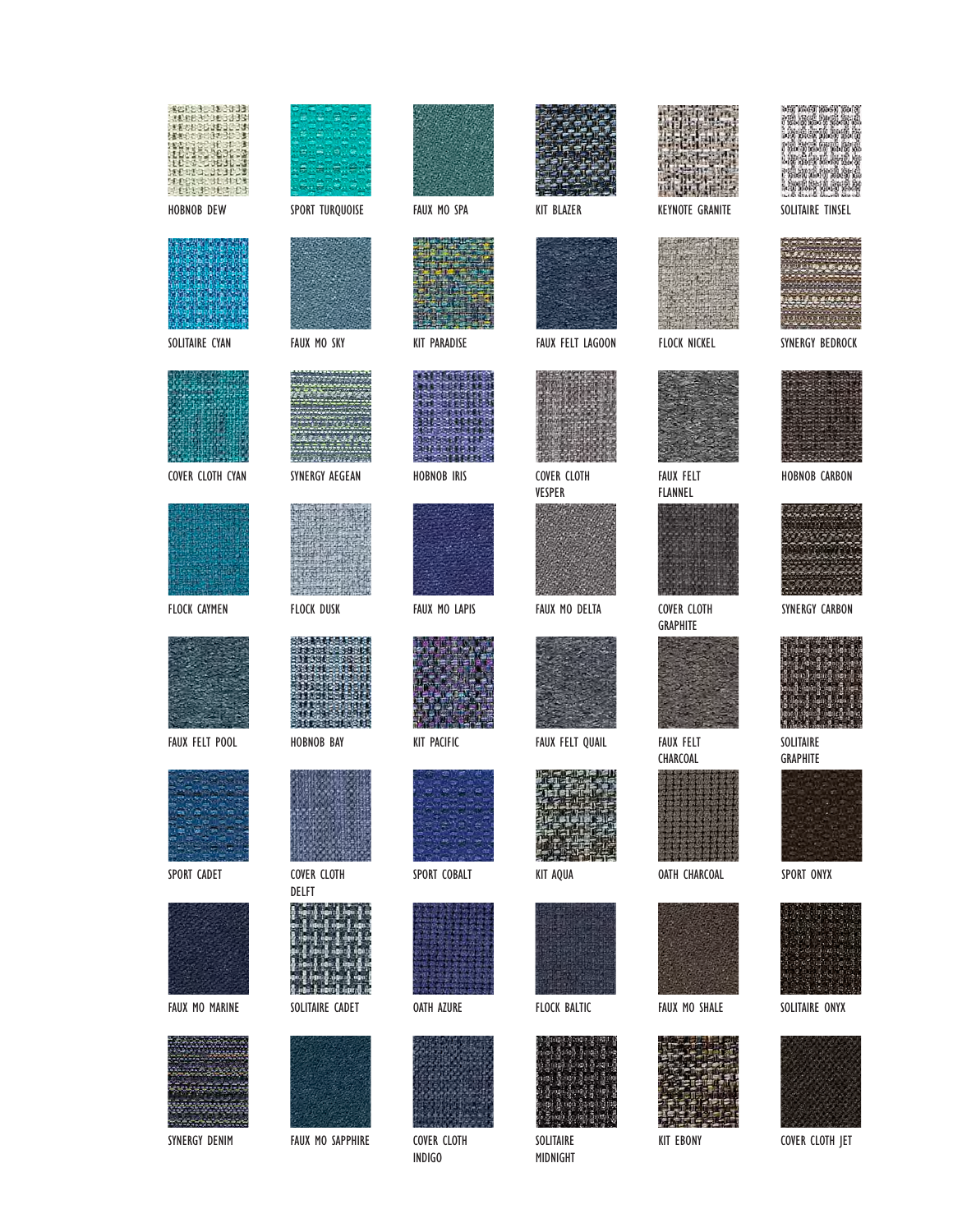| <b>HOBNOB DEW</b>     | SPORT TURQUOISE          | FAUX MO SPA           | <b>KIT BLAZER</b>       | <b>KEYNOTE GRANITE</b>         | SOLITAIRE TINSEL       |
|-----------------------|--------------------------|-----------------------|-------------------------|--------------------------------|------------------------|
| SOLITAIRE CYAN        | FAUX MO SKY              | <b>KIT PARADISE</b>   | <b>FAUX FELT LAGOON</b> | <b>FLOCK NICKEL</b>            | SYNERGY BEDROCK        |
| COVER CLOTH CYAN      | SYNERGY AEGEAN           | <b>HOBNOB IRIS</b>    | COVER CLOTH<br>VESPER   | <b>FAUX FELT</b><br>FLANNEL    | HOBNOB CARBON          |
| <b>FLOCK CAYMEN</b>   | <b>FLOCK DUSK</b>        | FAUX MO LAPIS         | FAUX MO DELTA           | COVER CLOTH<br><b>GRAPHITE</b> | SYNERGY CARBON         |
| <b>FAUX FELT POOL</b> | HOBNOB BAY               | <b>KIT PACIFIC</b>    | FAUX FELT QUAIL         | <b>FAUX FELT</b>               | SOLITAIRE              |
| SPORT CADET           | COVER CLOTH              | 'ar<br>SPORT COBALT   | KIT AQUA                | CHARCOAL<br>OATH CHARCOAL      | GRAPHITE<br>SPORT ONYX |
| FAUX MO MARINE        | DELFT<br>SOLITAIRE CADET | <b>OATH AZURE</b>     | FLOCK BALTIC            | FAUX MO SHALE                  | SOLITAIRE ONYX         |
|                       |                          |                       |                         |                                |                        |
| SYNERGY DENIM         | FAUX MO SAPPHIRE         | COVER CLOTH<br>INDIGO | SOLITAIRE<br>MIDNIGHT   | <b>KIT EBONY</b>               | COVER CLOTH JET        |